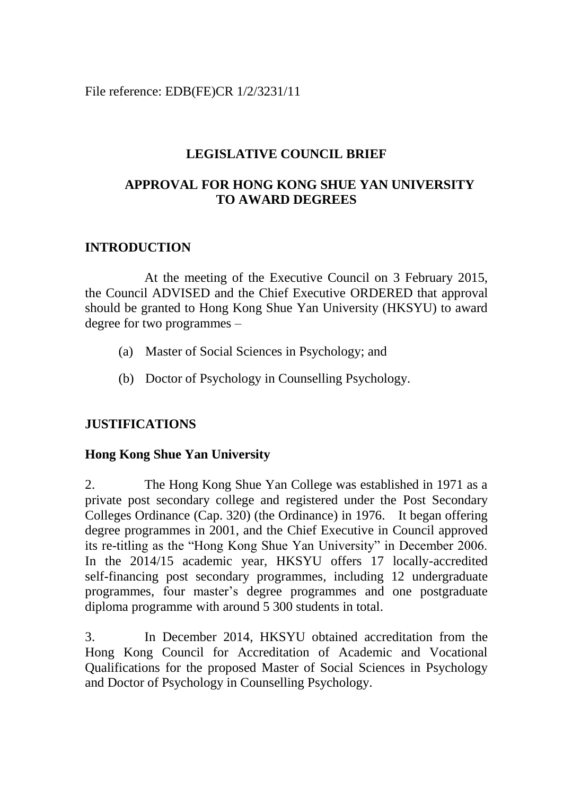File reference: EDB(FE)CR 1/2/3231/11

### **LEGISLATIVE COUNCIL BRIEF**

## **APPROVAL FOR HONG KONG SHUE YAN UNIVERSITY TO AWARD DEGREES**

#### **INTRODUCTION**

At the meeting of the Executive Council on 3 February 2015, the Council ADVISED and the Chief Executive ORDERED that approval should be granted to Hong Kong Shue Yan University (HKSYU) to award degree for two programmes –

- (a) Master of Social Sciences in Psychology; and
- (b) Doctor of Psychology in Counselling Psychology.

## **JUSTIFICATIONS**

#### **Hong Kong Shue Yan University**

2. The Hong Kong Shue Yan College was established in 1971 as a private post secondary college and registered under the Post Secondary Colleges Ordinance (Cap. 320) (the Ordinance) in 1976. It began offering degree programmes in 2001, and the Chief Executive in Council approved its re-titling as the "Hong Kong Shue Yan University" in December 2006. In the 2014/15 academic year, HKSYU offers 17 locally-accredited self-financing post secondary programmes, including 12 undergraduate programmes, four master's degree programmes and one postgraduate diploma programme with around 5 300 students in total.

3. In December 2014, HKSYU obtained accreditation from the Hong Kong Council for Accreditation of Academic and Vocational Qualifications for the proposed Master of Social Sciences in Psychology and Doctor of Psychology in Counselling Psychology.